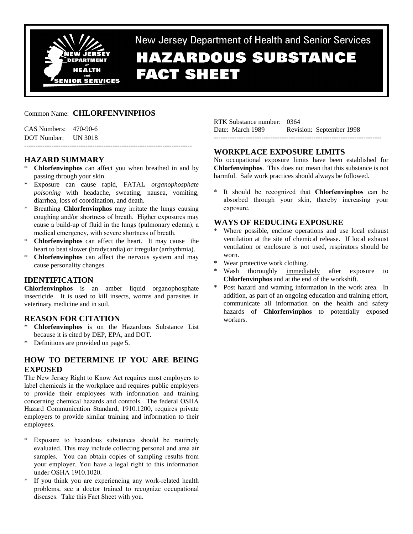

New Jersey Department of Health and Senior Services **HAZARDOUS SUBSTANCE FACT SHEET** 

## Common Name: **CHLORFENVINPHOS**

| $CAS$ Numbers: $470-90-6$ |  |
|---------------------------|--|
| DOT Number: UN 3018       |  |
|                           |  |

# **HAZARD SUMMARY**

- \* **Chlorfenvinphos** can affect you when breathed in and by passing through your skin.
- \* Exposure can cause rapid, FATAL *organophosphate poisoning* with headache, sweating, nausea, vomiting, diarrhea, loss of coordination, and death.
- \* Breathing **Chlorfenvinphos** may irritate the lungs causing coughing and/or shortness of breath. Higher exposures may cause a build-up of fluid in the lungs (pulmonary edema), a medical emergency, with severe shortness of breath.
- \* **Chlorfenvinphos** can affect the heart. It may cause the heart to beat slower (bradycardia) or irregular (arrhythmia).
- \* **Chlorfenvinphos** can affect the nervous system and may cause personality changes.

## **IDENTIFICATION**

**Chlorfenvinphos** is an amber liquid organophosphate insecticide. It is used to kill insects, worms and parasites in veterinary medicine and in soil.

## **REASON FOR CITATION**

- \* **Chlorfenvinphos** is on the Hazardous Substance List because it is cited by DEP, EPA, and DOT.
- \* Definitions are provided on page 5.

# **HOW TO DETERMINE IF YOU ARE BEING EXPOSED**

The New Jersey Right to Know Act requires most employers to label chemicals in the workplace and requires public employers to provide their employees with information and training concerning chemical hazards and controls. The federal OSHA Hazard Communication Standard, 1910.1200, requires private employers to provide similar training and information to their employees.

- Exposure to hazardous substances should be routinely evaluated. This may include collecting personal and area air samples. You can obtain copies of sampling results from your employer. You have a legal right to this information under OSHA 1910.1020.
- \* If you think you are experiencing any work-related health problems, see a doctor trained to recognize occupational diseases. Take this Fact Sheet with you.

RTK Substance number: 0364 Date: March 1989 Revision: September 1998 --------------------------------------------------------------------------

## **WORKPLACE EXPOSURE LIMITS**

No occupational exposure limits have been established for **Chlorfenvinphos**. This does not mean that this substance is not harmful. Safe work practices should always be followed.

It should be recognized that **Chlorfenvinphos** can be absorbed through your skin, thereby increasing your exposure.

## **WAYS OF REDUCING EXPOSURE**

- \* Where possible, enclose operations and use local exhaust ventilation at the site of chemical release. If local exhaust ventilation or enclosure is not used, respirators should be worn.
- \* Wear protective work clothing.
- \* Wash thoroughly immediately after exposure to **Chlorfenvinphos** and at the end of the workshift.
- Post hazard and warning information in the work area. In addition, as part of an ongoing education and training effort, communicate all information on the health and safety hazards of **Chlorfenvinphos** to potentially exposed workers.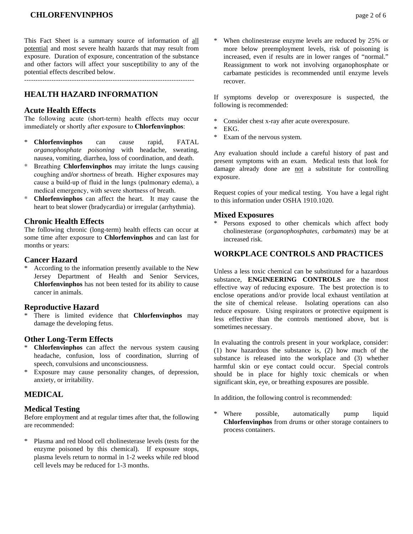This Fact Sheet is a summary source of information of all potential and most severe health hazards that may result from exposure. Duration of exposure, concentration of the substance and other factors will affect your susceptibility to any of the potential effects described below.

## **HEALTH HAZARD INFORMATION**

#### **Acute Health Effects**

The following acute (short-term) health effects may occur immediately or shortly after exposure to **Chlorfenvinphos**:

- \* **Chlorfenvinphos** can cause rapid, FATAL *organophosphate poisoning* with headache, sweating, nausea, vomiting, diarrhea, loss of coordination, and death.
- \* Breathing **Chlorfenvinphos** may irritate the lungs causing coughing and/or shortness of breath. Higher exposures may cause a build-up of fluid in the lungs (pulmonary edema), a medical emergency, with severe shortness of breath.
- \* **Chlorfenvinphos** can affect the heart. It may cause the heart to beat slower (bradycardia) or irregular (arrhythmia).

#### **Chronic Health Effects**

The following chronic (long-term) health effects can occur at some time after exposure to **Chlorfenvinphos** and can last for months or years:

#### **Cancer Hazard**

According to the information presently available to the New Jersey Department of Health and Senior Services, **Chlorfenvinphos** has not been tested for its ability to cause cancer in animals.

#### **Reproductive Hazard**

\* There is limited evidence that **Chlorfenvinphos** may damage the developing fetus.

#### **Other Long-Term Effects**

- \* **Chlorfenvinphos** can affect the nervous system causing headache, confusion, loss of coordination, slurring of speech, convulsions and unconsciousness.
- \* Exposure may cause personality changes, of depression, anxiety, or irritability.

## **MEDICAL**

#### **Medical Testing**

Before employment and at regular times after that, the following are recommended:

\* Plasma and red blood cell cholinesterase levels (tests for the enzyme poisoned by this chemical). If exposure stops, plasma levels return to normal in 1-2 weeks while red blood cell levels may be reduced for 1-3 months.

When cholinesterase enzyme levels are reduced by 25% or more below preemployment levels, risk of poisoning is increased, even if results are in lower ranges of "normal." Reassignment to work not involving organophosphate or carbamate pesticides is recommended until enzyme levels recover.

If symptoms develop or overexposure is suspected, the following is recommended:

- \* Consider chest x-ray after acute overexposure.
- EKG.
- \* Exam of the nervous system.

Any evaluation should include a careful history of past and present symptoms with an exam. Medical tests that look for damage already done are not a substitute for controlling exposure.

Request copies of your medical testing. You have a legal right to this information under OSHA 1910.1020.

#### **Mixed Exposures**

Persons exposed to other chemicals which affect body cholinesterase (*organophosphates*, *carbamates*) may be at increased risk.

## **WORKPLACE CONTROLS AND PRACTICES**

Unless a less toxic chemical can be substituted for a hazardous substance, **ENGINEERING CONTROLS** are the most effective way of reducing exposure. The best protection is to enclose operations and/or provide local exhaust ventilation at the site of chemical release. Isolating operations can also reduce exposure. Using respirators or protective equipment is less effective than the controls mentioned above, but is sometimes necessary.

In evaluating the controls present in your workplace, consider: (1) how hazardous the substance is, (2) how much of the substance is released into the workplace and (3) whether harmful skin or eye contact could occur. Special controls should be in place for highly toxic chemicals or when significant skin, eye, or breathing exposures are possible.

In addition, the following control is recommended:

Where possible, automatically pump liquid **Chlorfenvinphos** from drums or other storage containers to process containers.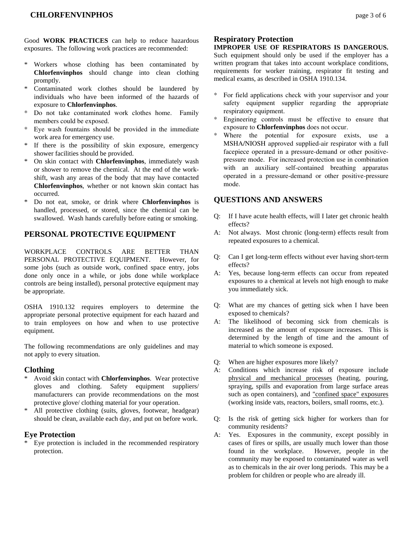Good **WORK PRACTICES** can help to reduce hazardous exposures. The following work practices are recommended:

- Workers whose clothing has been contaminated by **Chlorfenvinphos** should change into clean clothing promptly.
- \* Contaminated work clothes should be laundered by individuals who have been informed of the hazards of exposure to **Chlorfenvinphos**.
- Do not take contaminated work clothes home. Family members could be exposed.
- \* Eye wash fountains should be provided in the immediate work area for emergency use.
- \* If there is the possibility of skin exposure, emergency shower facilities should be provided.
- \* On skin contact with **Chlorfenvinphos**, immediately wash or shower to remove the chemical. At the end of the workshift, wash any areas of the body that may have contacted **Chlorfenvinphos**, whether or not known skin contact has occurred.
- \* Do not eat, smoke, or drink where **Chlorfenvinphos** is handled, processed, or stored, since the chemical can be swallowed. Wash hands carefully before eating or smoking.

## **PERSONAL PROTECTIVE EQUIPMENT**

WORKPLACE CONTROLS ARE BETTER THAN PERSONAL PROTECTIVE EQUIPMENT. However, for some jobs (such as outside work, confined space entry, jobs done only once in a while, or jobs done while workplace controls are being installed), personal protective equipment may be appropriate.

OSHA 1910.132 requires employers to determine the appropriate personal protective equipment for each hazard and to train employees on how and when to use protective equipment.

The following recommendations are only guidelines and may not apply to every situation.

#### **Clothing**

- \* Avoid skin contact with **Chlorfenvinphos**. Wear protective gloves and clothing. Safety equipment suppliers/ manufacturers can provide recommendations on the most protective glove/ clothing material for your operation.
- All protective clothing (suits, gloves, footwear, headgear) should be clean, available each day, and put on before work.

#### **Eye Protection**

\* Eye protection is included in the recommended respiratory protection.

### **Respiratory Protection**

**IMPROPER USE OF RESPIRATORS IS DANGEROUS.** Such equipment should only be used if the employer has a written program that takes into account workplace conditions,

- requirements for worker training, respirator fit testing and medical exams, as described in OSHA 1910.134.
- For field applications check with your supervisor and your safety equipment supplier regarding the appropriate respiratory equipment.
- \* Engineering controls must be effective to ensure that exposure to **Chlorfenvinphos** does not occur.
- Where the potential for exposure exists, use a MSHA/NIOSH approved supplied-air respirator with a full facepiece operated in a pressure-demand or other positivepressure mode. For increased protection use in combination with an auxiliary self-contained breathing apparatus operated in a pressure-demand or other positive-pressure mode.

## **QUESTIONS AND ANSWERS**

- Q: If I have acute health effects, will I later get chronic health effects?
- A: Not always. Most chronic (long-term) effects result from repeated exposures to a chemical.
- Q: Can I get long-term effects without ever having short-term effects?
- A: Yes, because long-term effects can occur from repeated exposures to a chemical at levels not high enough to make you immediately sick.
- Q: What are my chances of getting sick when I have been exposed to chemicals?
- A: The likelihood of becoming sick from chemicals is increased as the amount of exposure increases. This is determined by the length of time and the amount of material to which someone is exposed.
- Q: When are higher exposures more likely?
- A: Conditions which increase risk of exposure include physical and mechanical processes (heating, pouring, spraying, spills and evaporation from large surface areas such as open containers), and "confined space" exposures (working inside vats, reactors, boilers, small rooms, etc.).
- Q: Is the risk of getting sick higher for workers than for community residents?
- A: Yes. Exposures in the community, except possibly in cases of fires or spills, are usually much lower than those found in the workplace. However, people in the community may be exposed to contaminated water as well as to chemicals in the air over long periods. This may be a problem for children or people who are already ill.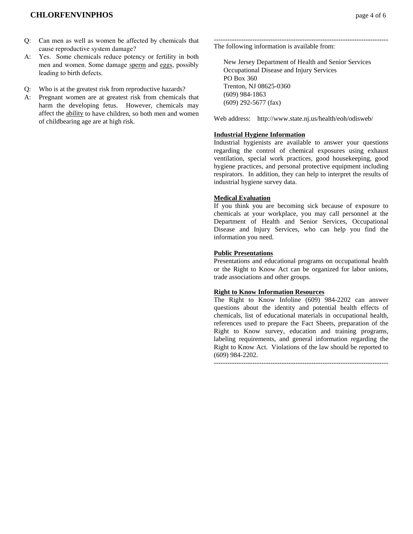## **CHLORFENVINPHOS page 4 of 6**

- Q: Can men as well as women be affected by chemicals that cause reproductive system damage?
- A: Yes. Some chemicals reduce potency or fertility in both men and women. Some damage sperm and eggs, possibly leading to birth defects.
- Q: Who is at the greatest risk from reproductive hazards?
- A: Pregnant women are at greatest risk from chemicals that harm the developing fetus. However, chemicals may affect the ability to have children, so both men and women of childbearing age are at high risk.

----------------------------------------------------------------------------- The following information is available from:

 New Jersey Department of Health and Senior Services Occupational Disease and Injury Services PO Box 360 Trenton, NJ 08625-0360 (609) 984-1863 (609) 292-5677 (fax)

Web address: http://www.state.nj.us/health/eoh/odisweb/

#### **Industrial Hygiene Information**

Industrial hygienists are available to answer your questions regarding the control of chemical exposures using exhaust ventilation, special work practices, good housekeeping, good hygiene practices, and personal protective equipment including respirators. In addition, they can help to interpret the results of industrial hygiene survey data.

#### **Medical Evaluation**

If you think you are becoming sick because of exposure to chemicals at your workplace, you may call personnel at the Department of Health and Senior Services, Occupational Disease and Injury Services, who can help you find the information you need.

#### **Public Presentations**

Presentations and educational programs on occupational health or the Right to Know Act can be organized for labor unions, trade associations and other groups.

#### **Right to Know Information Resources**

The Right to Know Infoline (609) 984-2202 can answer questions about the identity and potential health effects of chemicals, list of educational materials in occupational health, references used to prepare the Fact Sheets, preparation of the Right to Know survey, education and training programs, labeling requirements, and general information regarding the Right to Know Act. Violations of the law should be reported to (609) 984-2202.

-----------------------------------------------------------------------------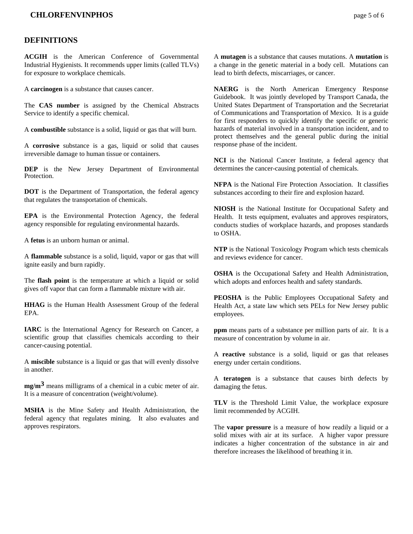## **CHLORFENVINPHOS page 5 of 6**

#### **DEFINITIONS**

**ACGIH** is the American Conference of Governmental Industrial Hygienists. It recommends upper limits (called TLVs) for exposure to workplace chemicals.

A **carcinogen** is a substance that causes cancer.

The **CAS number** is assigned by the Chemical Abstracts Service to identify a specific chemical.

A **combustible** substance is a solid, liquid or gas that will burn.

A **corrosive** substance is a gas, liquid or solid that causes irreversible damage to human tissue or containers.

**DEP** is the New Jersey Department of Environmental Protection.

**DOT** is the Department of Transportation, the federal agency that regulates the transportation of chemicals.

**EPA** is the Environmental Protection Agency, the federal agency responsible for regulating environmental hazards.

A **fetus** is an unborn human or animal.

A **flammable** substance is a solid, liquid, vapor or gas that will ignite easily and burn rapidly.

The **flash point** is the temperature at which a liquid or solid gives off vapor that can form a flammable mixture with air.

**HHAG** is the Human Health Assessment Group of the federal EPA.

**IARC** is the International Agency for Research on Cancer, a scientific group that classifies chemicals according to their cancer-causing potential.

A **miscible** substance is a liquid or gas that will evenly dissolve in another.

**mg/m3** means milligrams of a chemical in a cubic meter of air. It is a measure of concentration (weight/volume).

**MSHA** is the Mine Safety and Health Administration, the federal agency that regulates mining. It also evaluates and approves respirators.

A **mutagen** is a substance that causes mutations. A **mutation** is a change in the genetic material in a body cell. Mutations can lead to birth defects, miscarriages, or cancer.

**NAERG** is the North American Emergency Response Guidebook. It was jointly developed by Transport Canada, the United States Department of Transportation and the Secretariat of Communications and Transportation of Mexico. It is a guide for first responders to quickly identify the specific or generic hazards of material involved in a transportation incident, and to protect themselves and the general public during the initial response phase of the incident.

**NCI** is the National Cancer Institute, a federal agency that determines the cancer-causing potential of chemicals.

**NFPA** is the National Fire Protection Association. It classifies substances according to their fire and explosion hazard.

**NIOSH** is the National Institute for Occupational Safety and Health. It tests equipment, evaluates and approves respirators, conducts studies of workplace hazards, and proposes standards to OSHA.

**NTP** is the National Toxicology Program which tests chemicals and reviews evidence for cancer.

**OSHA** is the Occupational Safety and Health Administration, which adopts and enforces health and safety standards.

**PEOSHA** is the Public Employees Occupational Safety and Health Act, a state law which sets PELs for New Jersey public employees.

**ppm** means parts of a substance per million parts of air. It is a measure of concentration by volume in air.

A **reactive** substance is a solid, liquid or gas that releases energy under certain conditions.

A **teratogen** is a substance that causes birth defects by damaging the fetus.

**TLV** is the Threshold Limit Value, the workplace exposure limit recommended by ACGIH.

The **vapor pressure** is a measure of how readily a liquid or a solid mixes with air at its surface. A higher vapor pressure indicates a higher concentration of the substance in air and therefore increases the likelihood of breathing it in.